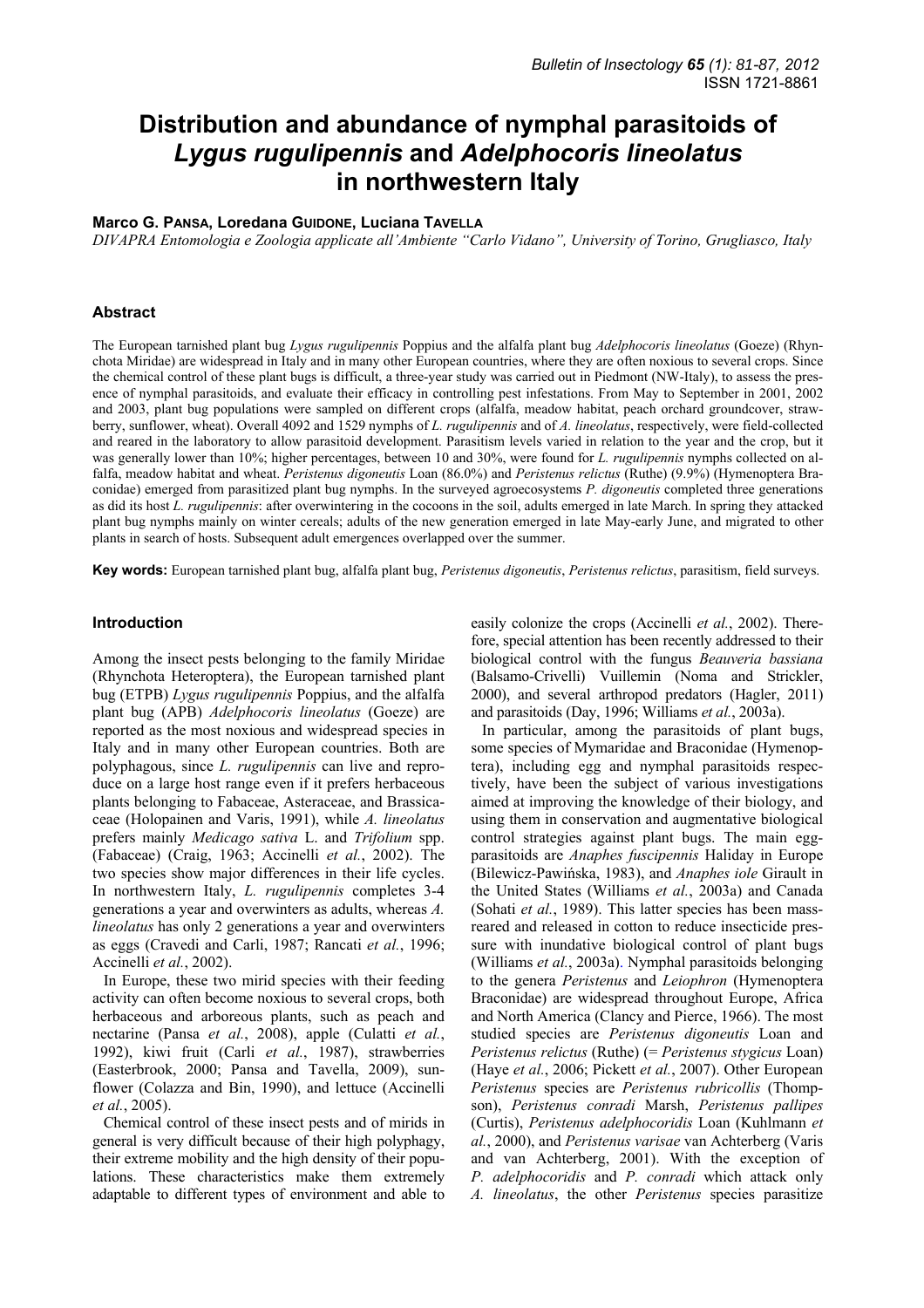# **Distribution and abundance of nymphal parasitoids of**  *Lygus rugulipennis* **and** *Adelphocoris lineolatus*  **in northwestern Italy**

# **Marco G. PANSA, Loredana GUIDONE, Luciana TAVELLA**

*DIVAPRA Entomologia e Zoologia applicate all'Ambiente "Carlo Vidano", University of Torino, Grugliasco, Italy* 

#### **Abstract**

The European tarnished plant bug *Lygus rugulipennis* Poppius and the alfalfa plant bug *Adelphocoris lineolatus* (Goeze) (Rhynchota Miridae) are widespread in Italy and in many other European countries, where they are often noxious to several crops. Since the chemical control of these plant bugs is difficult, a three-year study was carried out in Piedmont (NW-Italy), to assess the presence of nymphal parasitoids, and evaluate their efficacy in controlling pest infestations. From May to September in 2001, 2002 and 2003, plant bug populations were sampled on different crops (alfalfa, meadow habitat, peach orchard groundcover, strawberry, sunflower, wheat). Overall 4092 and 1529 nymphs of *L. rugulipennis* and of *A. lineolatus*, respectively, were field-collected and reared in the laboratory to allow parasitoid development. Parasitism levels varied in relation to the year and the crop, but it was generally lower than 10%; higher percentages, between 10 and 30%, were found for *L. rugulipennis* nymphs collected on alfalfa, meadow habitat and wheat. *Peristenus digoneutis* Loan (86.0%) and *Peristenus relictus* (Ruthe) (9.9%) (Hymenoptera Braconidae) emerged from parasitized plant bug nymphs. In the surveyed agroecosystems *P. digoneutis* completed three generations as did its host *L. rugulipennis*: after overwintering in the cocoons in the soil, adults emerged in late March. In spring they attacked plant bug nymphs mainly on winter cereals; adults of the new generation emerged in late May-early June, and migrated to other plants in search of hosts. Subsequent adult emergences overlapped over the summer.

**Key words:** European tarnished plant bug, alfalfa plant bug, *Peristenus digoneutis*, *Peristenus relictus*, parasitism, field surveys.

#### **Introduction**

Among the insect pests belonging to the family Miridae (Rhynchota Heteroptera), the European tarnished plant bug (ETPB) *Lygus rugulipennis* Poppius, and the alfalfa plant bug (APB) *Adelphocoris lineolatus* (Goeze) are reported as the most noxious and widespread species in Italy and in many other European countries. Both are polyphagous, since *L. rugulipennis* can live and reproduce on a large host range even if it prefers herbaceous plants belonging to Fabaceae, Asteraceae, and Brassicaceae (Holopainen and Varis, 1991), while *A. lineolatus* prefers mainly *Medicago sativa* L. and *Trifolium* spp. (Fabaceae) (Craig, 1963; Accinelli *et al.*, 2002). The two species show major differences in their life cycles. In northwestern Italy, *L. rugulipennis* completes 3-4 generations a year and overwinters as adults, whereas *A. lineolatus* has only 2 generations a year and overwinters as eggs (Cravedi and Carli, 1987; Rancati *et al.*, 1996; Accinelli *et al.*, 2002).

In Europe, these two mirid species with their feeding activity can often become noxious to several crops, both herbaceous and arboreous plants, such as peach and nectarine (Pansa *et al.*, 2008), apple (Culatti *et al.*, 1992), kiwi fruit (Carli *et al.*, 1987), strawberries (Easterbrook, 2000; Pansa and Tavella, 2009), sunflower (Colazza and Bin, 1990), and lettuce (Accinelli *et al.*, 2005).

Chemical control of these insect pests and of mirids in general is very difficult because of their high polyphagy, their extreme mobility and the high density of their populations. These characteristics make them extremely adaptable to different types of environment and able to

easily colonize the crops (Accinelli *et al.*, 2002). Therefore, special attention has been recently addressed to their biological control with the fungus *Beauveria bassiana* (Balsamo-Crivelli) Vuillemin (Noma and Strickler, 2000), and several arthropod predators (Hagler, 2011) and parasitoids (Day, 1996; Williams *et al.*, 2003a).

In particular, among the parasitoids of plant bugs, some species of Mymaridae and Braconidae (Hymenoptera), including egg and nymphal parasitoids respectively, have been the subject of various investigations aimed at improving the knowledge of their biology, and using them in conservation and augmentative biological control strategies against plant bugs. The main eggparasitoids are *Anaphes fuscipennis* Haliday in Europe (Bilewicz-Pawińska, 1983), and *Anaphes iole* Girault in the United States (Williams *et al.*, 2003a) and Canada (Sohati *et al.*, 1989). This latter species has been massreared and released in cotton to reduce insecticide pressure with inundative biological control of plant bugs (Williams *et al.*, 2003a). Nymphal parasitoids belonging to the genera *Peristenus* and *Leiophron* (Hymenoptera Braconidae) are widespread throughout Europe, Africa and North America (Clancy and Pierce, 1966). The most studied species are *Peristenus digoneutis* Loan and *Peristenus relictus* (Ruthe) (= *Peristenus stygicus* Loan) (Haye *et al.*, 2006; Pickett *et al.*, 2007). Other European *Peristenus* species are *Peristenus rubricollis* (Thompson), *Peristenus conradi* Marsh, *Peristenus pallipes* (Curtis), *Peristenus adelphocoridis* Loan (Kuhlmann *et al.*, 2000), and *Peristenus varisae* van Achterberg (Varis and van Achterberg, 2001). With the exception of *P. adelphocoridis* and *P. conradi* which attack only *A. lineolatus*, the other *Peristenus* species parasitize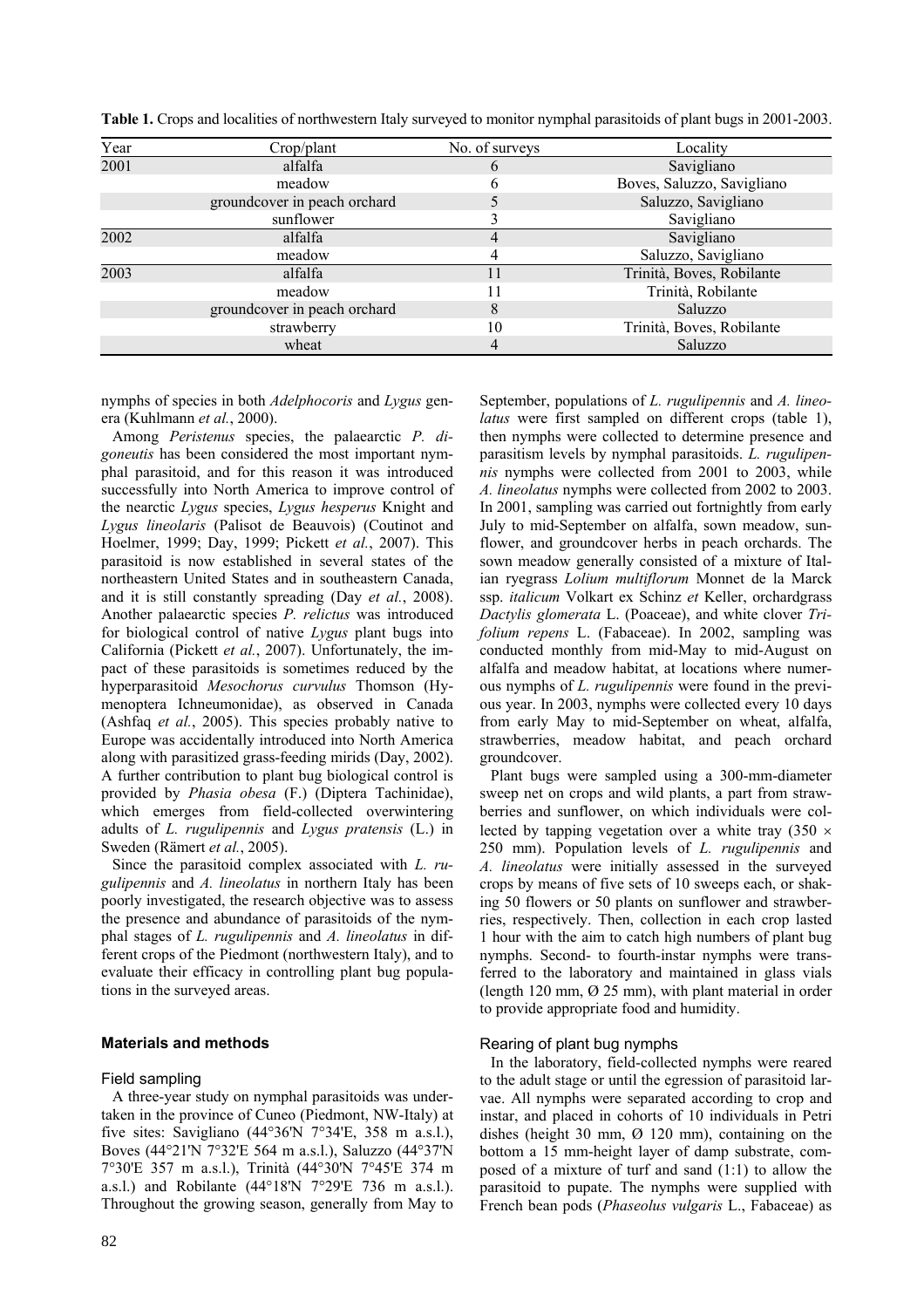| Year | Crop/plant                   | No. of surveys | Locality                   |
|------|------------------------------|----------------|----------------------------|
| 2001 | alfalfa                      | O              | Savigliano                 |
|      | meadow                       | h              | Boves, Saluzzo, Savigliano |
|      | groundcover in peach orchard |                | Saluzzo, Savigliano        |
|      | sunflower                    |                | Savigliano                 |
| 2002 | alfalfa                      | 4              | Savigliano                 |
|      | meadow                       |                | Saluzzo, Savigliano        |
| 2003 | alfalfa                      | 11             | Trinità, Boves, Robilante  |
|      | meadow                       |                | Trinità, Robilante         |
|      | groundcover in peach orchard | 8              | Saluzzo                    |
|      | strawberry                   | 10             | Trinità, Boves, Robilante  |
|      | wheat                        | 4              | Saluzzo                    |

**Table 1.** Crops and localities of northwestern Italy surveyed to monitor nymphal parasitoids of plant bugs in 2001-2003.

nymphs of species in both *Adelphocoris* and *Lygus* genera (Kuhlmann *et al.*, 2000).

Among *Peristenus* species, the palaearctic *P. digoneutis* has been considered the most important nymphal parasitoid, and for this reason it was introduced successfully into North America to improve control of the nearctic *Lygus* species, *Lygus hesperus* Knight and *Lygus lineolaris* (Palisot de Beauvois) (Coutinot and Hoelmer, 1999; Day, 1999; Pickett *et al.*, 2007). This parasitoid is now established in several states of the northeastern United States and in southeastern Canada, and it is still constantly spreading (Day *et al.*, 2008). Another palaearctic species *P. relictus* was introduced for biological control of native *Lygus* plant bugs into California (Pickett *et al.*, 2007). Unfortunately, the impact of these parasitoids is sometimes reduced by the hyperparasitoid *Mesochorus curvulus* Thomson (Hymenoptera Ichneumonidae), as observed in Canada (Ashfaq *et al.*, 2005). This species probably native to Europe was accidentally introduced into North America along with parasitized grass-feeding mirids (Day, 2002). A further contribution to plant bug biological control is provided by *Phasia obesa* (F.) (Diptera Tachinidae), which emerges from field-collected overwintering adults of *L. rugulipennis* and *Lygus pratensis* (L.) in Sweden (Rämert *et al.*, 2005).

Since the parasitoid complex associated with *L. rugulipennis* and *A. lineolatus* in northern Italy has been poorly investigated, the research objective was to assess the presence and abundance of parasitoids of the nymphal stages of *L. rugulipennis* and *A. lineolatus* in different crops of the Piedmont (northwestern Italy), and to evaluate their efficacy in controlling plant bug populations in the surveyed areas.

# **Materials and methods**

#### Field sampling

A three-year study on nymphal parasitoids was undertaken in the province of Cuneo (Piedmont, NW-Italy) at five sites: Savigliano  $(44^{\circ}36'N)$  7°34'E, 358 m a.s.l.), Boves (44°21'N 7°32'E 564 m a.s.l.), Saluzzo (44°37'N 7°30'E 357 m a.s.l.), Trinità (44°30'N 7°45'E 374 m a.s.l.) and Robilante (44°18'N 7°29'E 736 m a.s.l.). Throughout the growing season, generally from May to

September, populations of *L. rugulipennis* and *A. lineolatus* were first sampled on different crops (table 1). then nymphs were collected to determine presence and parasitism levels by nymphal parasitoids. *L. rugulipennis* nymphs were collected from 2001 to 2003, while *A. lineolatus* nymphs were collected from 2002 to 2003. In 2001, sampling was carried out fortnightly from early July to mid-September on alfalfa, sown meadow, sunflower, and groundcover herbs in peach orchards. The sown meadow generally consisted of a mixture of Italian ryegrass *Lolium multiflorum* Monnet de la Marck ssp. *italicum* Volkart ex Schinz *et* Keller, orchardgrass *Dactylis glomerata* L. (Poaceae), and white clover *Trifolium repens* L. (Fabaceae). In 2002, sampling was conducted monthly from mid-May to mid-August on alfalfa and meadow habitat, at locations where numerous nymphs of *L. rugulipennis* were found in the previous year. In 2003, nymphs were collected every 10 days from early May to mid-September on wheat, alfalfa, strawberries, meadow habitat, and peach orchard groundcover.

Plant bugs were sampled using a 300-mm-diameter sweep net on crops and wild plants, a part from strawberries and sunflower, on which individuals were collected by tapping vegetation over a white tray  $(350 \times$ 250 mm). Population levels of *L. rugulipennis* and *A. lineolatus* were initially assessed in the surveyed crops by means of five sets of 10 sweeps each, or shaking 50 flowers or 50 plants on sunflower and strawberries, respectively. Then, collection in each crop lasted 1 hour with the aim to catch high numbers of plant bug nymphs. Second- to fourth-instar nymphs were transferred to the laboratory and maintained in glass vials (length 120 mm, Ø 25 mm), with plant material in order to provide appropriate food and humidity.

#### Rearing of plant bug nymphs

In the laboratory, field-collected nymphs were reared to the adult stage or until the egression of parasitoid larvae. All nymphs were separated according to crop and instar, and placed in cohorts of 10 individuals in Petri dishes (height 30 mm,  $\varnothing$  120 mm), containing on the bottom a 15 mm-height layer of damp substrate, composed of a mixture of turf and sand (1:1) to allow the parasitoid to pupate. The nymphs were supplied with French bean pods (*Phaseolus vulgaris* L., Fabaceae) as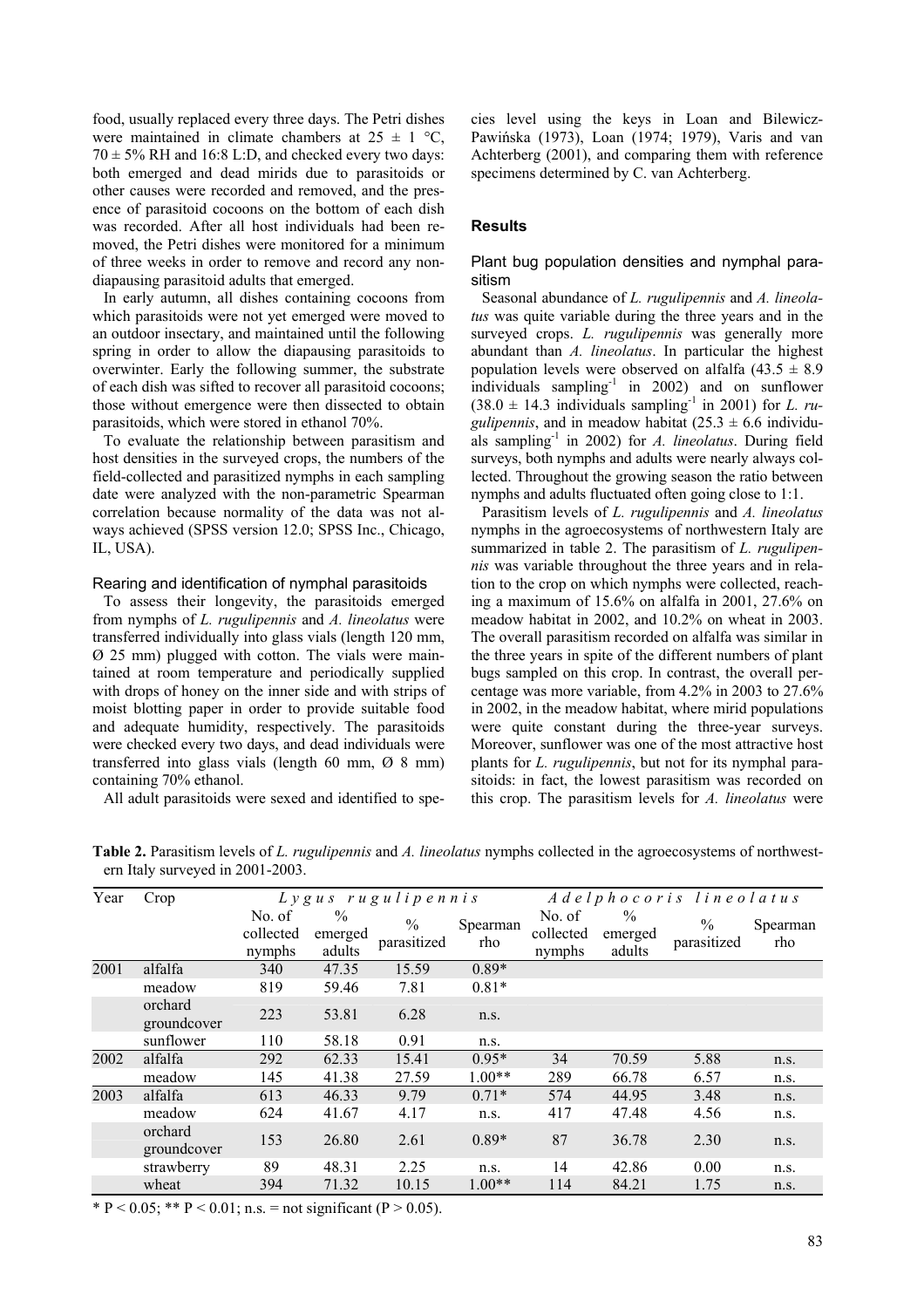food, usually replaced every three days. The Petri dishes were maintained in climate chambers at  $25 \pm 1$  °C,  $70 \pm 5\%$  RH and 16:8 L:D, and checked every two days: both emerged and dead mirids due to parasitoids or other causes were recorded and removed, and the presence of parasitoid cocoons on the bottom of each dish was recorded. After all host individuals had been removed, the Petri dishes were monitored for a minimum of three weeks in order to remove and record any nondiapausing parasitoid adults that emerged.

In early autumn, all dishes containing cocoons from which parasitoids were not yet emerged were moved to an outdoor insectary, and maintained until the following spring in order to allow the diapausing parasitoids to overwinter. Early the following summer, the substrate of each dish was sifted to recover all parasitoid cocoons; those without emergence were then dissected to obtain parasitoids, which were stored in ethanol 70%.

To evaluate the relationship between parasitism and host densities in the surveyed crops, the numbers of the field-collected and parasitized nymphs in each sampling date were analyzed with the non-parametric Spearman correlation because normality of the data was not always achieved (SPSS version 12.0; SPSS Inc., Chicago, IL, USA).

#### Rearing and identification of nymphal parasitoids

To assess their longevity, the parasitoids emerged from nymphs of *L. rugulipennis* and *A. lineolatus* were transferred individually into glass vials (length 120 mm, Ø 25 mm) plugged with cotton. The vials were maintained at room temperature and periodically supplied with drops of honey on the inner side and with strips of moist blotting paper in order to provide suitable food and adequate humidity, respectively. The parasitoids were checked every two days, and dead individuals were transferred into glass vials (length 60 mm, Ø 8 mm) containing 70% ethanol.

All adult parasitoids were sexed and identified to spe-

cies level using the keys in Loan and Bilewicz-Pawińska (1973), Loan (1974; 1979), Varis and van Achterberg (2001), and comparing them with reference specimens determined by C. van Achterberg.

#### **Results**

## Plant bug population densities and nymphal parasitism

Seasonal abundance of *L. rugulipennis* and *A. lineolatus* was quite variable during the three years and in the surveyed crops. *L. rugulipennis* was generally more abundant than *A. lineolatus*. In particular the highest population levels were observed on alfalfa  $(43.5 \pm 8.9)$ individuals sampling<sup>-1</sup> in 2002) and on sunflower  $(38.0 \pm 14.3$  individuals sampling<sup>-1</sup> in 2001) for *L. rugulipennis*, and in meadow habitat  $(25.3 \pm 6.6 \text{ individual} - \text{)}$ als sampling-1 in 2002) for *A. lineolatus*. During field surveys, both nymphs and adults were nearly always collected. Throughout the growing season the ratio between nymphs and adults fluctuated often going close to 1:1.

Parasitism levels of *L. rugulipennis* and *A. lineolatus* nymphs in the agroecosystems of northwestern Italy are summarized in table 2. The parasitism of *L. rugulipennis* was variable throughout the three years and in relation to the crop on which nymphs were collected, reaching a maximum of 15.6% on alfalfa in 2001, 27.6% on meadow habitat in 2002, and 10.2% on wheat in 2003. The overall parasitism recorded on alfalfa was similar in the three years in spite of the different numbers of plant bugs sampled on this crop. In contrast, the overall percentage was more variable, from 4.2% in 2003 to 27.6% in 2002, in the meadow habitat, where mirid populations were quite constant during the three-year surveys. Moreover, sunflower was one of the most attractive host plants for *L. rugulipennis*, but not for its nymphal parasitoids: in fact, the lowest parasitism was recorded on this crop. The parasitism levels for *A. lineolatus* were

| Year | Crop                   | L y g u s r u g u l i p e n n i s |                                    |                     | Adelphocoris lineolatus |                               |                           |                     |                 |
|------|------------------------|-----------------------------------|------------------------------------|---------------------|-------------------------|-------------------------------|---------------------------|---------------------|-----------------|
|      |                        | No. of<br>collected<br>nymphs     | $\frac{0}{0}$<br>emerged<br>adults | $\%$<br>parasitized | Spearman<br>rho         | No. of<br>collected<br>nymphs | $\%$<br>emerged<br>adults | $\%$<br>parasitized | Spearman<br>rho |
| 2001 | alfalfa                | 340                               | 47.35                              | 15.59               | $0.89*$                 |                               |                           |                     |                 |
|      | meadow                 | 819                               | 59.46                              | 7.81                | $0.81*$                 |                               |                           |                     |                 |
|      | orchard<br>groundcover | 223                               | 53.81                              | 6.28                | n.s.                    |                               |                           |                     |                 |
|      | sunflower              | 110                               | 58.18                              | 0.91                | n.s.                    |                               |                           |                     |                 |
| 2002 | alfalfa                | 292                               | 62.33                              | 15.41               | $0.95*$                 | 34                            | 70.59                     | 5.88                | n.s.            |
|      | meadow                 | 145                               | 41.38                              | 27.59               | $1.00**$                | 289                           | 66.78                     | 6.57                | n.S.            |
| 2003 | alfalfa                | 613                               | 46.33                              | 9.79                | $0.71*$                 | 574                           | 44.95                     | 3.48                | n.s.            |
|      | meadow                 | 624                               | 41.67                              | 4.17                | n.s.                    | 417                           | 47.48                     | 4.56                | n.s.            |
|      | orchard<br>groundcover | 153                               | 26.80                              | 2.61                | $0.89*$                 | 87                            | 36.78                     | 2.30                | n.s.            |
|      | strawberry             | 89                                | 48.31                              | 2.25                | n.s.                    | 14                            | 42.86                     | 0.00                | n.s.            |
|      | wheat                  | 394                               | 71.32                              | 10.15               | $1.00**$                | 114                           | 84.21                     | 1.75                | n.s.            |

**Table 2.** Parasitism levels of *L. rugulipennis* and *A. lineolatus* nymphs collected in the agroecosystems of northwestern Italy surveyed in 2001-2003.

\* P < 0.05; \*\* P < 0.01; n.s. = not significant (P > 0.05).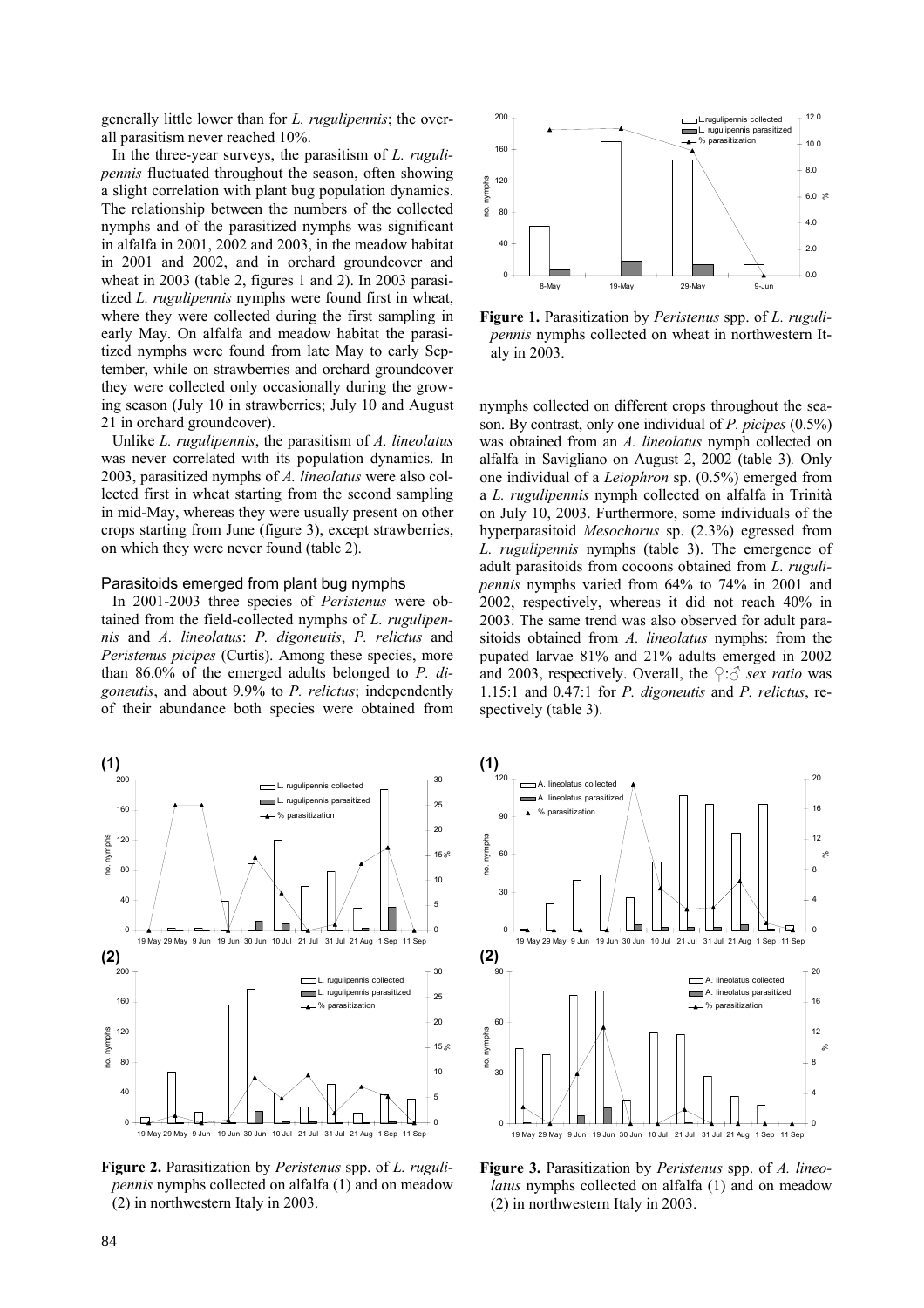generally little lower than for *L. rugulipennis*; the overall parasitism never reached 10%.

In the three-year surveys, the parasitism of *L. rugulipennis* fluctuated throughout the season, often showing a slight correlation with plant bug population dynamics. The relationship between the numbers of the collected nymphs and of the parasitized nymphs was significant in alfalfa in 2001, 2002 and 2003, in the meadow habitat in 2001 and 2002, and in orchard groundcover and wheat in 2003 (table 2, figures 1 and 2). In 2003 parasitized *L. rugulipennis* nymphs were found first in wheat, where they were collected during the first sampling in early May. On alfalfa and meadow habitat the parasitized nymphs were found from late May to early September, while on strawberries and orchard groundcover they were collected only occasionally during the growing season (July 10 in strawberries; July 10 and August 21 in orchard groundcover).

Unlike *L. rugulipennis*, the parasitism of *A. lineolatus* was never correlated with its population dynamics. In 2003, parasitized nymphs of *A. lineolatus* were also collected first in wheat starting from the second sampling in mid-May, whereas they were usually present on other crops starting from June (figure 3), except strawberries, on which they were never found (table 2).

#### Parasitoids emerged from plant bug nymphs

In 2001-2003 three species of *Peristenus* were obtained from the field-collected nymphs of *L. rugulipennis* and *A. lineolatus*: *P. digoneutis*, *P. relictus* and *Peristenus picipes* (Curtis). Among these species, more than 86.0% of the emerged adults belonged to *P. digoneutis*, and about 9.9% to *P. relictus*; independently of their abundance both species were obtained from



**Figure 2.** Parasitization by *Peristenus* spp. of *L. rugulipennis* nymphs collected on alfalfa (1) and on meadow (2) in northwestern Italy in 2003.



**Figure 1.** Parasitization by *Peristenus* spp. of *L. rugulipennis* nymphs collected on wheat in northwestern Italy in 2003.

nymphs collected on different crops throughout the season. By contrast, only one individual of *P. picipes* (0.5%) was obtained from an *A. lineolatus* nymph collected on alfalfa in Savigliano on August 2, 2002 (table 3)*.* Only one individual of a *Leiophron* sp. (0.5%) emerged from a *L. rugulipennis* nymph collected on alfalfa in Trinità on July 10, 2003. Furthermore, some individuals of the hyperparasitoid *Mesochorus* sp. (2.3%) egressed from *L. rugulipennis* nymphs (table 3). The emergence of adult parasitoids from cocoons obtained from *L. rugulipennis* nymphs varied from 64% to 74% in 2001 and 2002, respectively, whereas it did not reach 40% in 2003. The same trend was also observed for adult parasitoids obtained from *A. lineolatus* nymphs: from the pupated larvae 81% and 21% adults emerged in 2002 and 2003, respectively. Overall, the  $\mathcal{Q}:\hat{\mathcal{J}}$  *sex ratio* was 1.15:1 and 0.47:1 for *P. digoneutis* and *P. relictus*, respectively (table 3).



**Figure 3.** Parasitization by *Peristenus* spp. of *A. lineolatus* nymphs collected on alfalfa (1) and on meadow (2) in northwestern Italy in 2003.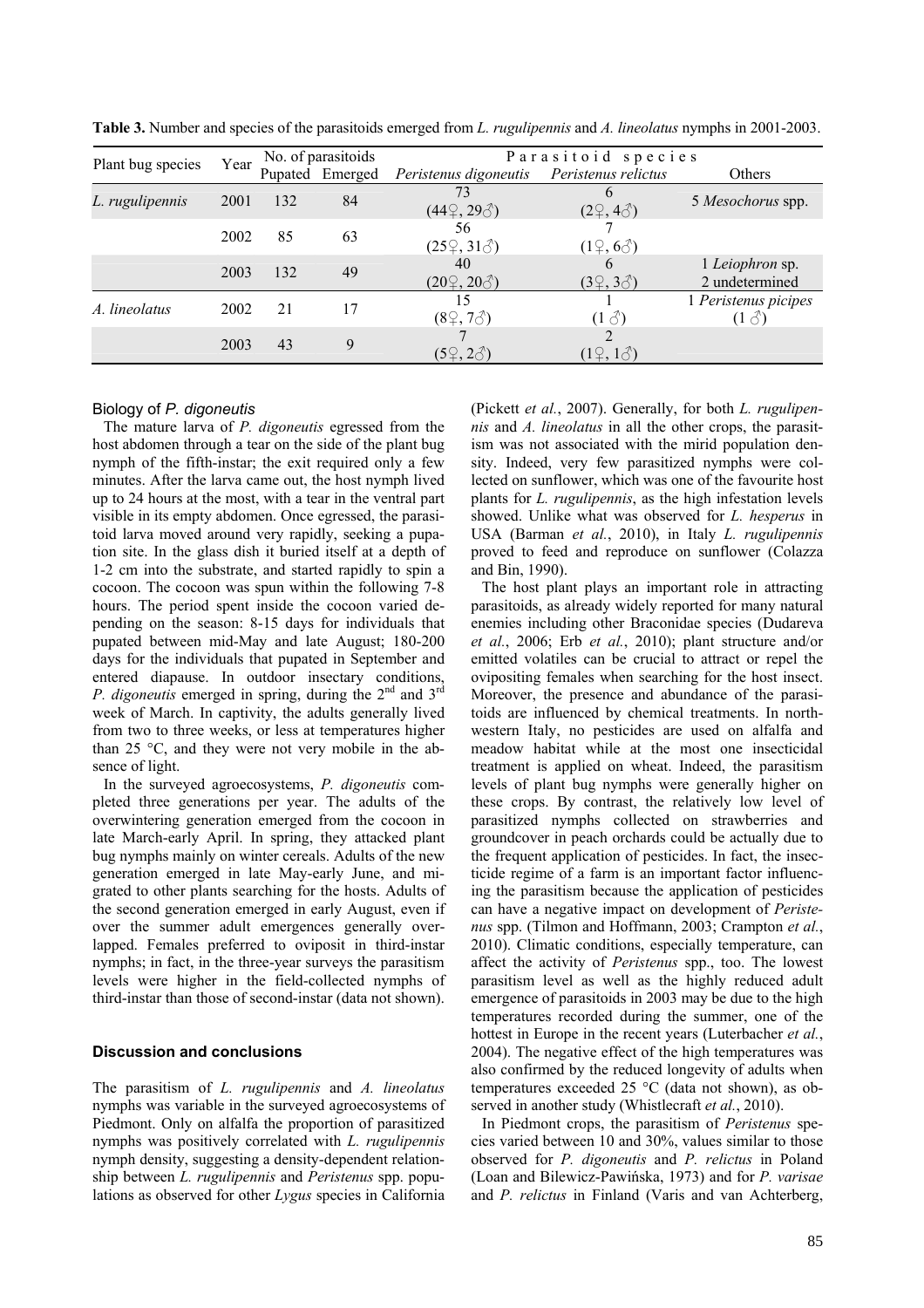|                   | Year | No. of parasitoids |                 | Parasitoid species             |                          |                                      |  |
|-------------------|------|--------------------|-----------------|--------------------------------|--------------------------|--------------------------------------|--|
| Plant bug species |      |                    | Pupated Emerged | Peristenus digoneutis          | Peristenus relictus      | Others                               |  |
| L. rugulipennis   | 2001 | 132                | 84              | 73<br>$(44\degree, 29\degree)$ | $(2\hat{;}4\hat{\'})$    | 5 Mesochorus spp.                    |  |
|                   | 2002 | 85                 | 63              | 56<br>$(25\degree, 31\degree)$ | $(1\degree, 6\degree)$   |                                      |  |
|                   | 2003 | 132                | 49              | 40<br>$(20\degree, 20\degree)$ | $(3\hat{;} 3\hat{\'{}})$ | 1 Leiophron sp.<br>2 undetermined    |  |
| A. lineolatus     | 2002 | 21                 | 17              | 15<br>$(8\degree, 7\degree)$   | $(1 \delta)$             | 1 Peristenus picipes<br>$(1 \delta)$ |  |
|                   | 2003 | 43                 | 9               | $(5\%, 2\%)$                   | $(1\hat{2}, 1\hat{6})$   |                                      |  |

**Table 3.** Number and species of the parasitoids emerged from *L. rugulipennis* and *A. lineolatus* nymphs in 2001-2003.

# Biology of *P. digoneutis*

The mature larva of *P. digoneutis* egressed from the host abdomen through a tear on the side of the plant bug nymph of the fifth-instar; the exit required only a few minutes. After the larva came out, the host nymph lived up to 24 hours at the most, with a tear in the ventral part visible in its empty abdomen. Once egressed, the parasitoid larva moved around very rapidly, seeking a pupation site. In the glass dish it buried itself at a depth of 1-2 cm into the substrate, and started rapidly to spin a cocoon. The cocoon was spun within the following 7-8 hours. The period spent inside the cocoon varied depending on the season: 8-15 days for individuals that pupated between mid-May and late August; 180-200 days for the individuals that pupated in September and entered diapause. In outdoor insectary conditions, *P. digoneutis* emerged in spring, during the 2<sup>nd</sup> and 3<sup>rd</sup> week of March. In captivity, the adults generally lived from two to three weeks, or less at temperatures higher than 25 °C, and they were not very mobile in the absence of light.

In the surveyed agroecosystems, *P. digoneutis* completed three generations per year. The adults of the overwintering generation emerged from the cocoon in late March-early April. In spring, they attacked plant bug nymphs mainly on winter cereals. Adults of the new generation emerged in late May-early June, and migrated to other plants searching for the hosts. Adults of the second generation emerged in early August, even if over the summer adult emergences generally overlapped. Females preferred to oviposit in third-instar nymphs; in fact, in the three-year surveys the parasitism levels were higher in the field-collected nymphs of third-instar than those of second-instar (data not shown).

# **Discussion and conclusions**

The parasitism of *L. rugulipennis* and *A. lineolatus* nymphs was variable in the surveyed agroecosystems of Piedmont. Only on alfalfa the proportion of parasitized nymphs was positively correlated with *L. rugulipennis* nymph density, suggesting a density-dependent relationship between *L. rugulipennis* and *Peristenus* spp. populations as observed for other *Lygus* species in California (Pickett *et al.*, 2007). Generally, for both *L. rugulipennis* and *A. lineolatus* in all the other crops, the parasitism was not associated with the mirid population density. Indeed, very few parasitized nymphs were collected on sunflower, which was one of the favourite host plants for *L. rugulipennis*, as the high infestation levels showed. Unlike what was observed for *L. hesperus* in USA (Barman *et al.*, 2010), in Italy *L. rugulipennis* proved to feed and reproduce on sunflower (Colazza and Bin, 1990).

The host plant plays an important role in attracting parasitoids, as already widely reported for many natural enemies including other Braconidae species (Dudareva *et al.*, 2006; Erb *et al.*, 2010); plant structure and/or emitted volatiles can be crucial to attract or repel the ovipositing females when searching for the host insect. Moreover, the presence and abundance of the parasitoids are influenced by chemical treatments. In northwestern Italy, no pesticides are used on alfalfa and meadow habitat while at the most one insecticidal treatment is applied on wheat. Indeed, the parasitism levels of plant bug nymphs were generally higher on these crops. By contrast, the relatively low level of parasitized nymphs collected on strawberries and groundcover in peach orchards could be actually due to the frequent application of pesticides. In fact, the insecticide regime of a farm is an important factor influencing the parasitism because the application of pesticides can have a negative impact on development of *Peristenus* spp. (Tilmon and Hoffmann, 2003; Crampton *et al.*, 2010). Climatic conditions, especially temperature, can affect the activity of *Peristenus* spp., too. The lowest parasitism level as well as the highly reduced adult emergence of parasitoids in 2003 may be due to the high temperatures recorded during the summer, one of the hottest in Europe in the recent years (Luterbacher *et al.*, 2004). The negative effect of the high temperatures was also confirmed by the reduced longevity of adults when temperatures exceeded 25 °C (data not shown), as observed in another study (Whistlecraft *et al.*, 2010).

In Piedmont crops, the parasitism of *Peristenus* species varied between 10 and 30%, values similar to those observed for *P. digoneutis* and *P. relictus* in Poland (Loan and Bilewicz-Pawińska, 1973) and for *P. varisae* and *P. relictus* in Finland (Varis and van Achterberg,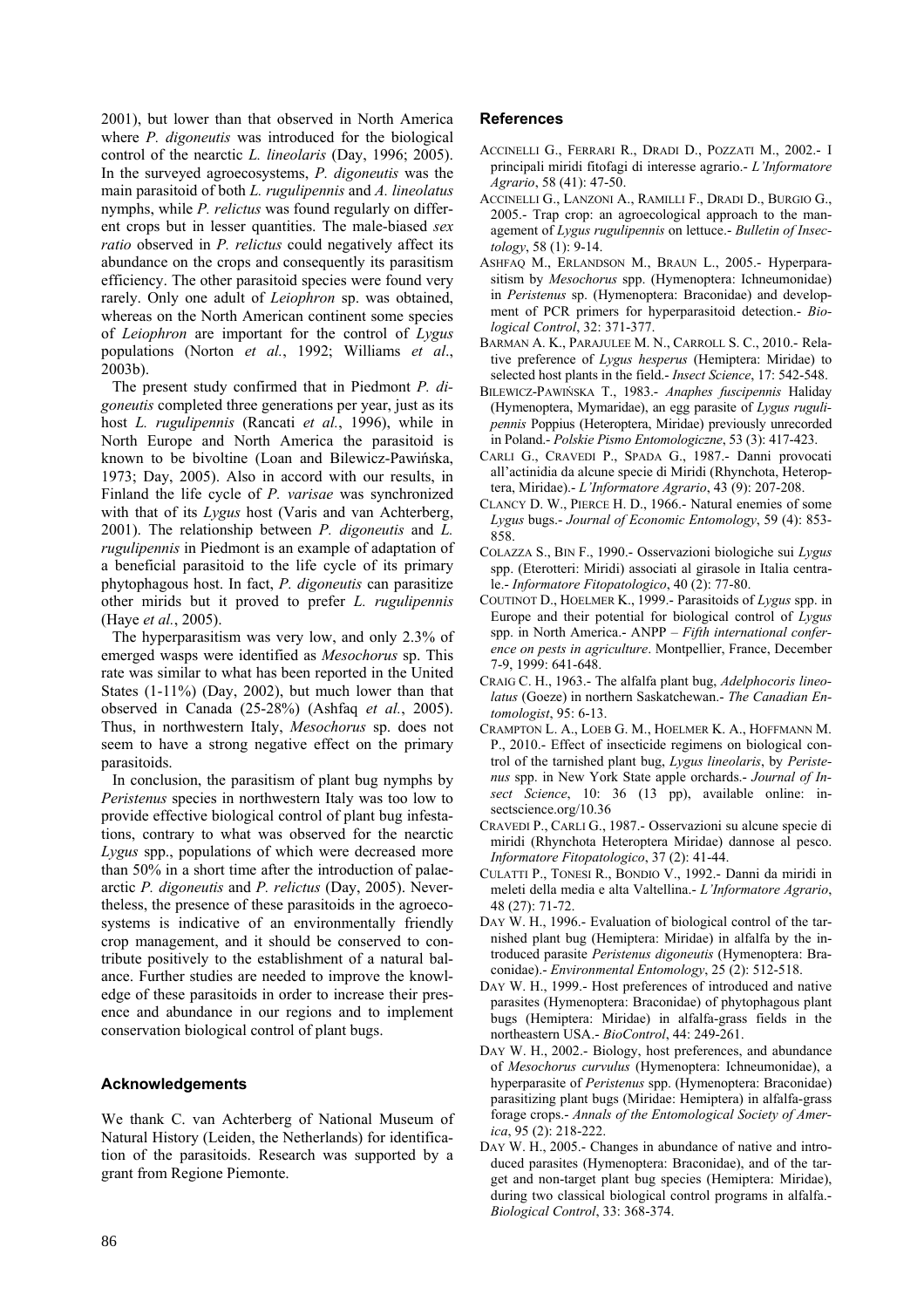2001), but lower than that observed in North America where *P. digoneutis* was introduced for the biological control of the nearctic *L. lineolaris* (Day, 1996; 2005). In the surveyed agroecosystems, *P. digoneutis* was the main parasitoid of both *L. rugulipennis* and *A. lineolatus* nymphs, while *P. relictus* was found regularly on different crops but in lesser quantities. The male-biased *sex ratio* observed in *P. relictus* could negatively affect its abundance on the crops and consequently its parasitism efficiency. The other parasitoid species were found very rarely. Only one adult of *Leiophron* sp. was obtained, whereas on the North American continent some species of *Leiophron* are important for the control of *Lygus* populations (Norton *et al.*, 1992; Williams *et al*., 2003b).

The present study confirmed that in Piedmont *P. digoneutis* completed three generations per year, just as its host *L. rugulipennis* (Rancati *et al.*, 1996), while in North Europe and North America the parasitoid is known to be bivoltine (Loan and Bilewicz-Pawińska, 1973; Day, 2005). Also in accord with our results, in Finland the life cycle of *P. varisae* was synchronized with that of its *Lygus* host (Varis and van Achterberg, 2001). The relationship between *P. digoneutis* and *L. rugulipennis* in Piedmont is an example of adaptation of a beneficial parasitoid to the life cycle of its primary phytophagous host. In fact, *P. digoneutis* can parasitize other mirids but it proved to prefer *L. rugulipennis* (Haye *et al.*, 2005).

The hyperparasitism was very low, and only 2.3% of emerged wasps were identified as *Mesochorus* sp. This rate was similar to what has been reported in the United States (1-11%) (Day, 2002), but much lower than that observed in Canada (25-28%) (Ashfaq *et al.*, 2005). Thus, in northwestern Italy, *Mesochorus* sp. does not seem to have a strong negative effect on the primary parasitoids.

In conclusion, the parasitism of plant bug nymphs by *Peristenus* species in northwestern Italy was too low to provide effective biological control of plant bug infestations, contrary to what was observed for the nearctic *Lygus* spp., populations of which were decreased more than 50% in a short time after the introduction of palaearctic *P. digoneutis* and *P. relictus* (Day, 2005). Nevertheless, the presence of these parasitoids in the agroecosystems is indicative of an environmentally friendly crop management, and it should be conserved to contribute positively to the establishment of a natural balance. Further studies are needed to improve the knowledge of these parasitoids in order to increase their presence and abundance in our regions and to implement conservation biological control of plant bugs.

# **Acknowledgements**

We thank C. van Achterberg of National Museum of Natural History (Leiden, the Netherlands) for identification of the parasitoids. Research was supported by a grant from Regione Piemonte.

# **References**

- ACCINELLI G., FERRARI R., DRADI D., POZZATI M., 2002.- I principali miridi fitofagi di interesse agrario.- *L'Informatore Agrario*, 58 (41): 47-50.
- ACCINELLI G., LANZONI A., RAMILLI F., DRADI D., BURGIO G., 2005.- Trap crop: an agroecological approach to the management of *Lygus rugulipennis* on lettuce.- *Bulletin of Insectology*, 58 (1): 9-14.
- ASHFAQ M., ERLANDSON M., BRAUN L., 2005.- Hyperparasitism by *Mesochorus* spp. (Hymenoptera: Ichneumonidae) in *Peristenus* sp. (Hymenoptera: Braconidae) and development of PCR primers for hyperparasitoid detection.- *Biological Control*, 32: 371-377.
- BARMAN A. K., PARAJULEE M. N., CARROLL S. C., 2010.- Relative preference of *Lygus hesperus* (Hemiptera: Miridae) to selected host plants in the field.- *Insect Science*, 17: 542-548.
- BILEWICZ-PAWIŃSKA T., 1983.- *Anaphes fuscipennis* Haliday (Hymenoptera, Mymaridae), an egg parasite of *Lygus rugulipennis* Poppius (Heteroptera, Miridae) previously unrecorded in Poland.- *Polskie Pismo Entomologiczne*, 53 (3): 417-423.
- CARLI G., CRAVEDI P., SPADA G., 1987.- Danni provocati all'actinidia da alcune specie di Miridi (Rhynchota, Heteroptera, Miridae).- *L'Informatore Agrario*, 43 (9): 207-208.
- CLANCY D. W., PIERCE H. D., 1966.- Natural enemies of some *Lygus* bugs.- *Journal of Economic Entomology*, 59 (4): 853- 858.
- COLAZZA S., BIN F., 1990.- Osservazioni biologiche sui *Lygus* spp. (Eterotteri: Miridi) associati al girasole in Italia centrale.- *Informatore Fitopatologico*, 40 (2): 77-80.
- COUTINOT D., HOELMER K., 1999.- Parasitoids of *Lygus* spp. in Europe and their potential for biological control of *Lygus* spp. in North America.- ANPP – *Fifth international conference on pests in agriculture*. Montpellier, France, December 7-9, 1999: 641-648.
- CRAIG C. H., 1963.- The alfalfa plant bug, *Adelphocoris lineolatus* (Goeze) in northern Saskatchewan.- *The Canadian Entomologist*, 95: 6-13.
- CRAMPTON L. A., LOEB G. M., HOELMER K. A., HOFFMANN M. P., 2010.- Effect of insecticide regimens on biological control of the tarnished plant bug, *Lygus lineolaris*, by *Peristenus* spp. in New York State apple orchards.- *Journal of In*sect Science, 10: 36 (13 pp), available online: insectscience.org/10.36
- CRAVEDI P., CARLI G., 1987.- Osservazioni su alcune specie di miridi (Rhynchota Heteroptera Miridae) dannose al pesco. *Informatore Fitopatologico*, 37 (2): 41-44.
- CULATTI P., TONESI R., BONDIO V., 1992.- Danni da miridi in meleti della media e alta Valtellina.- *L'Informatore Agrario*, 48 (27): 71-72.
- DAY W. H., 1996.- Evaluation of biological control of the tarnished plant bug (Hemiptera: Miridae) in alfalfa by the introduced parasite *Peristenus digoneutis* (Hymenoptera: Braconidae).- *Environmental Entomology*, 25 (2): 512-518.
- DAY W. H., 1999.- Host preferences of introduced and native parasites (Hymenoptera: Braconidae) of phytophagous plant bugs (Hemiptera: Miridae) in alfalfa-grass fields in the northeastern USA.- *BioControl*, 44: 249-261.
- DAY W. H., 2002.- Biology, host preferences, and abundance of *Mesochorus curvulus* (Hymenoptera: Ichneumonidae), a hyperparasite of *Peristenus* spp. (Hymenoptera: Braconidae) parasitizing plant bugs (Miridae: Hemiptera) in alfalfa-grass forage crops.- *Annals of the Entomological Society of America*, 95 (2): 218-222.
- DAY W. H., 2005.- Changes in abundance of native and introduced parasites (Hymenoptera: Braconidae), and of the target and non-target plant bug species (Hemiptera: Miridae), during two classical biological control programs in alfalfa.- *Biological Control*, 33: 368-374.